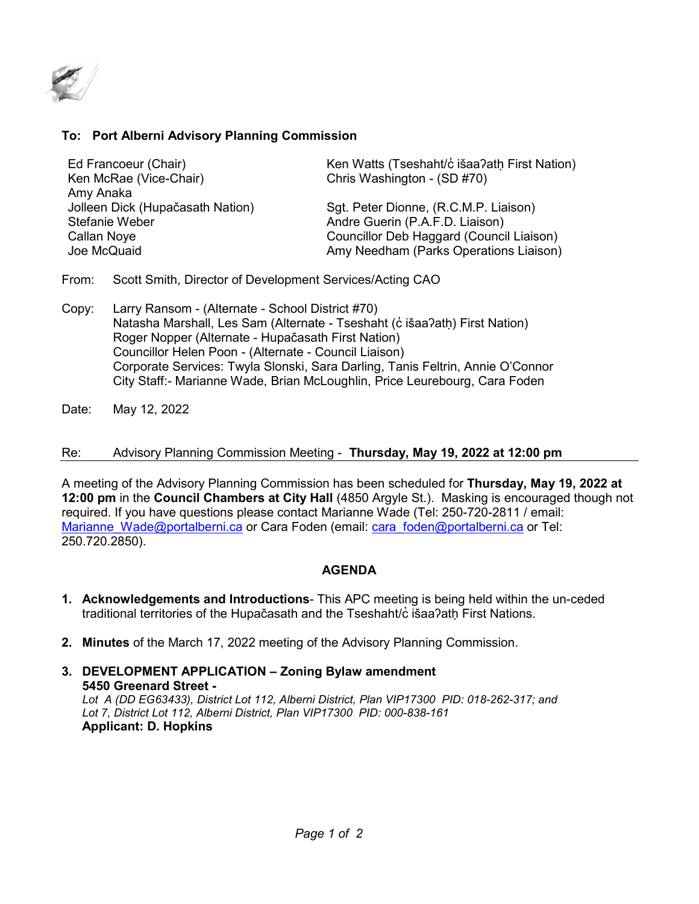

## **To: Port Alberni Advisory Planning Commission**

Ken McRae (Vice-Chair) Chris Washington - (SD #70) Amy Anaka

Ed Francoeur (Chair) Ken Watts (Tseshaht/c išaa?ath First Nation)

Jolleen Dick (Hupačasath Nation) Sgt. Peter Dionne, (R.C.M.P. Liaison) Andre Guerin (P.A.F.D. Liaison) Callan Noye Councillor Deb Haggard (Council Liaison) Joe McQuaid Amy Needham (Parks Operations Liaison)

- From: Scott Smith, Director of Development Services/Acting CAO
- Copy: Larry Ransom (Alternate School District #70) Natasha Marshall, Les Sam (Alternate - Tseshaht (c išaa?atḥ) First Nation) Roger Nopper (Alternate - Hupačasath First Nation) Councillor Helen Poon - (Alternate - Council Liaison) Corporate Services: Twyla Slonski, Sara Darling, Tanis Feltrin, Annie O'Connor City Staff:- Marianne Wade, Brian McLoughlin, Price Leurebourg, Cara Foden
- Date: May 12, 2022

## Re: Advisory Planning Commission Meeting - **Thursday, May 19, 2022 at 12:00 pm**

A meeting of the Advisory Planning Commission has been scheduled for **Thursday, May 19, 2022 at 12:00 pm** in the **Council Chambers at City Hall** (4850 Argyle St.). Masking is encouraged though not required. If you have questions please contact Marianne Wade (Tel: 250-720-2811 / email: [Marianne\\_Wade@portalberni.ca](mailto:Marianne_Wade@portalberni.ca) or Cara Foden (email: [cara\\_foden@portalberni.ca](mailto:cara_foden@portalberni.ca) or Tel: 250.720.2850).

## **AGENDA**

- **1. Acknowledgements and Introductions** This APC meeting is being held within the un-ceded traditional territories of the Hupačasath and the Tseshaht/c̓ išaa?ath First Nations.
- **2. Minutes** of the March 17, 2022 meeting of the Advisory Planning Commission.
- **3. DEVELOPMENT APPLICATION – Zoning Bylaw amendment 5450 Greenard Street -** *Lot A (DD EG63433), District Lot 112, Alberni District, Plan VIP17300 PID: 018-262-317; and Lot 7, District Lot 112, Alberni District, Plan VIP17300 PID: 000-838-161* **Applicant: D. Hopkins**